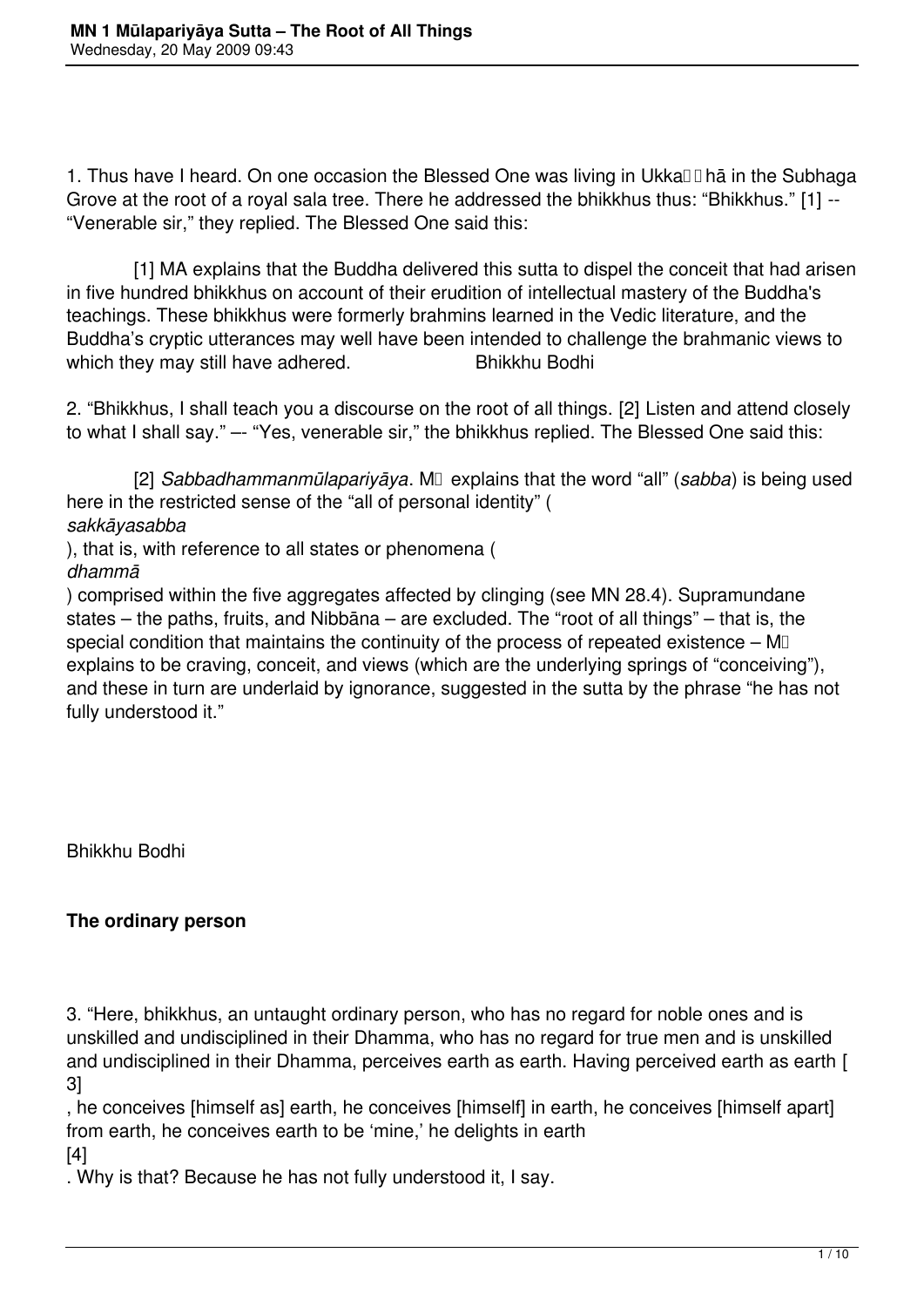1. Thus have I heard. On one occasion the Blessed One was living in Ukka $\Box$  hā in the Subhaga Grove at the root of a royal sala tree. There he addressed the bhikkhus thus: "Bhikkhus." [1] -- "Venerable sir," they replied. The Blessed One said this:

 [1] MA explains that the Buddha delivered this sutta to dispel the conceit that had arisen in five hundred bhikkhus on account of their erudition of intellectual mastery of the Buddha's teachings. These bhikkhus were formerly brahmins learned in the Vedic literature, and the Buddha's cryptic utterances may well have been intended to challenge the brahmanic views to which they may still have adhered. Bhikkhu Bodhi

2. "Bhikkhus, I shall teach you a discourse on the root of all things. [2] Listen and attend closely to what I shall say." –- "Yes, venerable sir," the bhikkhus replied. The Blessed One said this:

 [2] *Sabbadhammanmūlapariyāya*. MṬ explains that the word "all" (*sabba*) is being used here in the restricted sense of the "all of personal identity" ( *sakkāyasabba*

), that is, with reference to all states or phenomena ( *dhammā*

) comprised within the five aggregates affected by clinging (see MN 28.4). Supramundane states – the paths, fruits, and Nibbāna – are excluded. The "root of all things" – that is, the special condition that maintains the continuity of the process of repeated existence –  $M\Box$ explains to be craving, conceit, and views (which are the underlying springs of "conceiving"), and these in turn are underlaid by ignorance, suggested in the sutta by the phrase "he has not fully understood it."

Bhikkhu Bodhi

# **The ordinary person**

3. "Here, bhikkhus, an untaught ordinary person, who has no regard for noble ones and is unskilled and undisciplined in their Dhamma, who has no regard for true men and is unskilled and undisciplined in their Dhamma, perceives earth as earth. Having perceived earth as earth [ 3]

, he conceives [himself as] earth, he conceives [himself] in earth, he conceives [himself apart] from earth, he conceives earth to be 'mine,' he delights in earth

[4]

. Why is that? Because he has not fully understood it, I say.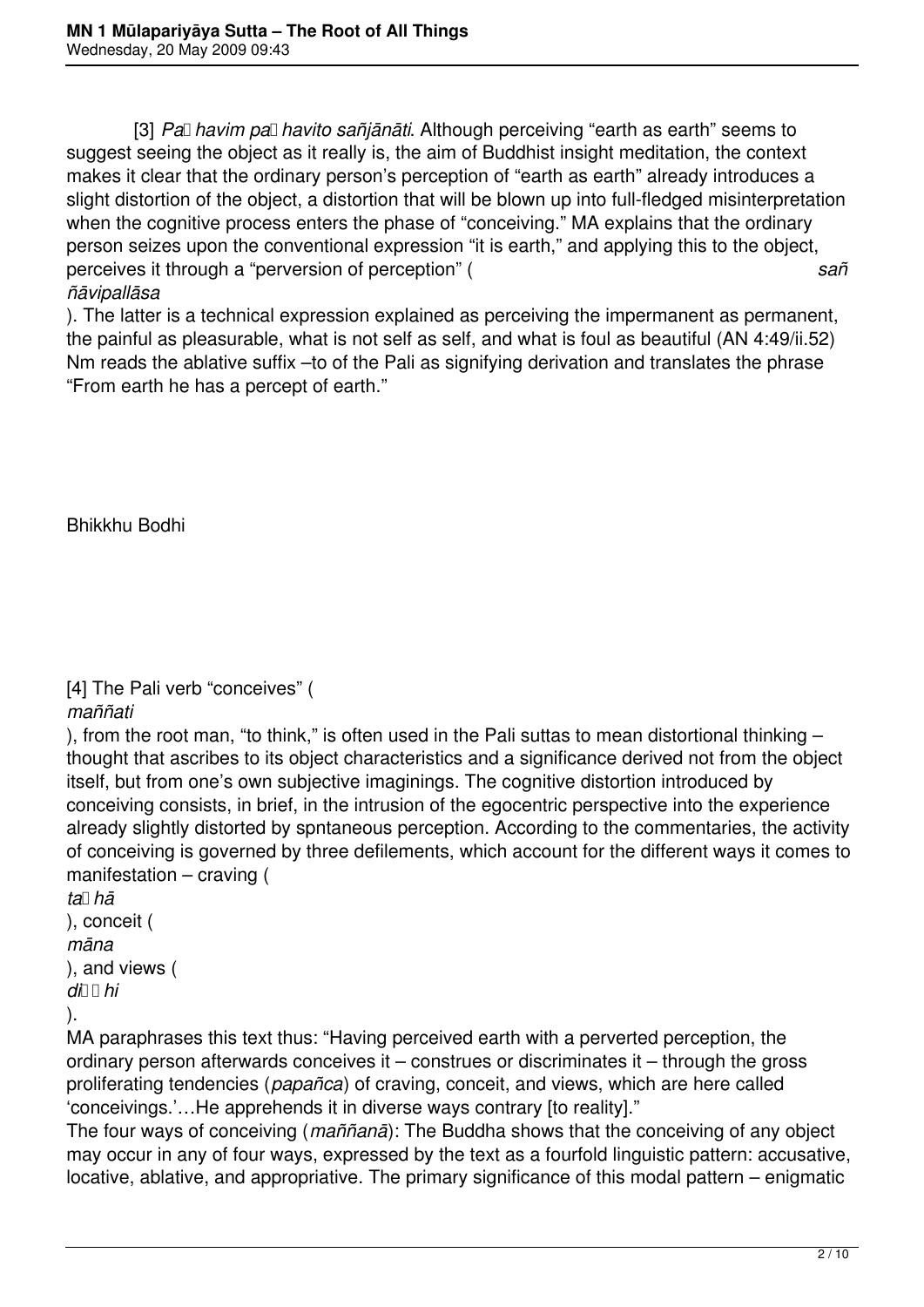[3] *Pa*[] havim pa] havito sañjānāti. Although perceiving "earth as earth" seems to suggest seeing the object as it really is, the aim of Buddhist insight meditation, the context makes it clear that the ordinary person's perception of "earth as earth" already introduces a slight distortion of the object, a distortion that will be blown up into full-fledged misinterpretation when the cognitive process enters the phase of "conceiving." MA explains that the ordinary person seizes upon the conventional expression "it is earth," and applying this to the object, perceives it through a "perversion of perception" ( *sañ ñāvipallāsa*

). The latter is a technical expression explained as perceiving the impermanent as permanent, the painful as pleasurable, what is not self as self, and what is foul as beautiful (AN 4:49/ii.52) Nm reads the ablative suffix –to of the Pali as signifying derivation and translates the phrase "From earth he has a percept of earth."

Bhikkhu Bodhi

```
[4] The Pali verb "conceives" (
```
## *maññati*

), from the root man, "to think," is often used in the Pali suttas to mean distortional thinking – thought that ascribes to its object characteristics and a significance derived not from the object itself, but from one's own subjective imaginings. The cognitive distortion introduced by conceiving consists, in brief, in the intrusion of the egocentric perspective into the experience already slightly distorted by spntaneous perception. According to the commentaries, the activity of conceiving is governed by three defilements, which account for the different ways it comes to manifestation – craving (

*taṇhā* ), conceit ( *māna* ), and views ( *di*∏h*i* 

).

MA paraphrases this text thus: "Having perceived earth with a perverted perception, the ordinary person afterwards conceives it – construes or discriminates it – through the gross proliferating tendencies (*papañca*) of craving, conceit, and views, which are here called 'conceivings.'…He apprehends it in diverse ways contrary [to reality]."

The four ways of conceiving (*maññanā*): The Buddha shows that the conceiving of any object may occur in any of four ways, expressed by the text as a fourfold linguistic pattern: accusative, locative, ablative, and appropriative. The primary significance of this modal pattern – enigmatic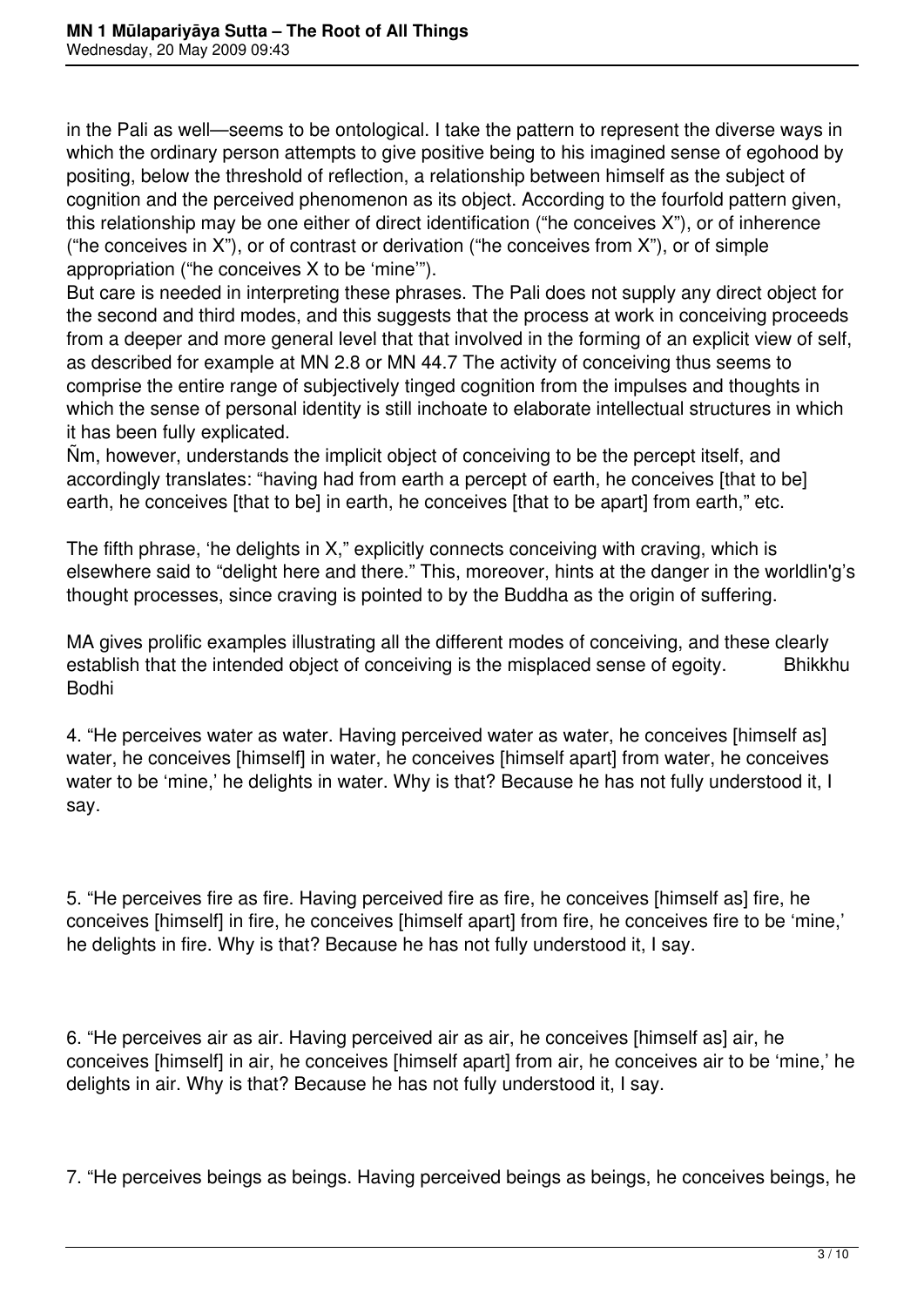in the Pali as well—seems to be ontological. I take the pattern to represent the diverse ways in which the ordinary person attempts to give positive being to his imagined sense of egohood by positing, below the threshold of reflection, a relationship between himself as the subject of cognition and the perceived phenomenon as its object. According to the fourfold pattern given, this relationship may be one either of direct identification ("he conceives X"), or of inherence ("he conceives in X"), or of contrast or derivation ("he conceives from X"), or of simple appropriation ("he conceives X to be 'mine'").

But care is needed in interpreting these phrases. The Pali does not supply any direct object for the second and third modes, and this suggests that the process at work in conceiving proceeds from a deeper and more general level that that involved in the forming of an explicit view of self, as described for example at MN 2.8 or MN 44.7 The activity of conceiving thus seems to comprise the entire range of subjectively tinged cognition from the impulses and thoughts in which the sense of personal identity is still inchoate to elaborate intellectual structures in which it has been fully explicated.

Ñm, however, understands the implicit object of conceiving to be the percept itself, and accordingly translates: "having had from earth a percept of earth, he conceives [that to be] earth, he conceives [that to be] in earth, he conceives [that to be apart] from earth," etc.

The fifth phrase, 'he delights in X," explicitly connects conceiving with craving, which is elsewhere said to "delight here and there." This, moreover, hints at the danger in the worldlin'g's thought processes, since craving is pointed to by the Buddha as the origin of suffering.

MA gives prolific examples illustrating all the different modes of conceiving, and these clearly establish that the intended object of conceiving is the misplaced sense of egoity. Bhikkhu Bodhi

4. "He perceives water as water. Having perceived water as water, he conceives [himself as] water, he conceives [himself] in water, he conceives [himself apart] from water, he conceives water to be 'mine,' he delights in water. Why is that? Because he has not fully understood it, I say.

5. "He perceives fire as fire. Having perceived fire as fire, he conceives [himself as] fire, he conceives [himself] in fire, he conceives [himself apart] from fire, he conceives fire to be 'mine,' he delights in fire. Why is that? Because he has not fully understood it, I say.

6. "He perceives air as air. Having perceived air as air, he conceives [himself as] air, he conceives [himself] in air, he conceives [himself apart] from air, he conceives air to be 'mine,' he delights in air. Why is that? Because he has not fully understood it, I say.

7. "He perceives beings as beings. Having perceived beings as beings, he conceives beings, he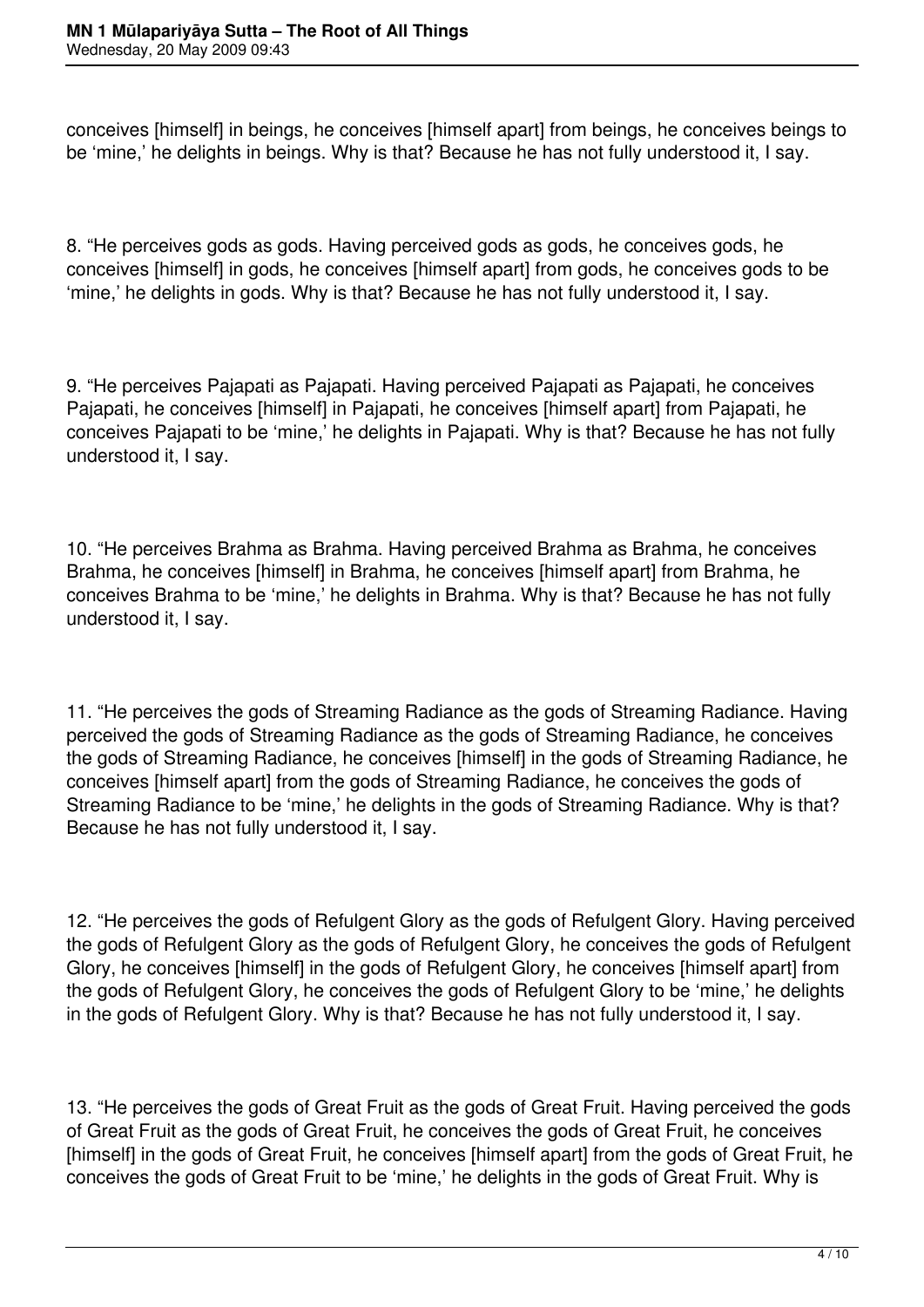conceives [himself] in beings, he conceives [himself apart] from beings, he conceives beings to be 'mine,' he delights in beings. Why is that? Because he has not fully understood it, I say.

8. "He perceives gods as gods. Having perceived gods as gods, he conceives gods, he conceives [himself] in gods, he conceives [himself apart] from gods, he conceives gods to be 'mine,' he delights in gods. Why is that? Because he has not fully understood it, I say.

9. "He perceives Pajapati as Pajapati. Having perceived Pajapati as Pajapati, he conceives Pajapati, he conceives [himself] in Pajapati, he conceives [himself apart] from Pajapati, he conceives Pajapati to be 'mine,' he delights in Pajapati. Why is that? Because he has not fully understood it, I say.

10. "He perceives Brahma as Brahma. Having perceived Brahma as Brahma, he conceives Brahma, he conceives [himself] in Brahma, he conceives [himself apart] from Brahma, he conceives Brahma to be 'mine,' he delights in Brahma. Why is that? Because he has not fully understood it, I say.

11. "He perceives the gods of Streaming Radiance as the gods of Streaming Radiance. Having perceived the gods of Streaming Radiance as the gods of Streaming Radiance, he conceives the gods of Streaming Radiance, he conceives [himself] in the gods of Streaming Radiance, he conceives [himself apart] from the gods of Streaming Radiance, he conceives the gods of Streaming Radiance to be 'mine,' he delights in the gods of Streaming Radiance. Why is that? Because he has not fully understood it, I say.

12. "He perceives the gods of Refulgent Glory as the gods of Refulgent Glory. Having perceived the gods of Refulgent Glory as the gods of Refulgent Glory, he conceives the gods of Refulgent Glory, he conceives [himself] in the gods of Refulgent Glory, he conceives [himself apart] from the gods of Refulgent Glory, he conceives the gods of Refulgent Glory to be 'mine,' he delights in the gods of Refulgent Glory. Why is that? Because he has not fully understood it, I say.

13. "He perceives the gods of Great Fruit as the gods of Great Fruit. Having perceived the gods of Great Fruit as the gods of Great Fruit, he conceives the gods of Great Fruit, he conceives [himself] in the gods of Great Fruit, he conceives [himself apart] from the gods of Great Fruit, he conceives the gods of Great Fruit to be 'mine,' he delights in the gods of Great Fruit. Why is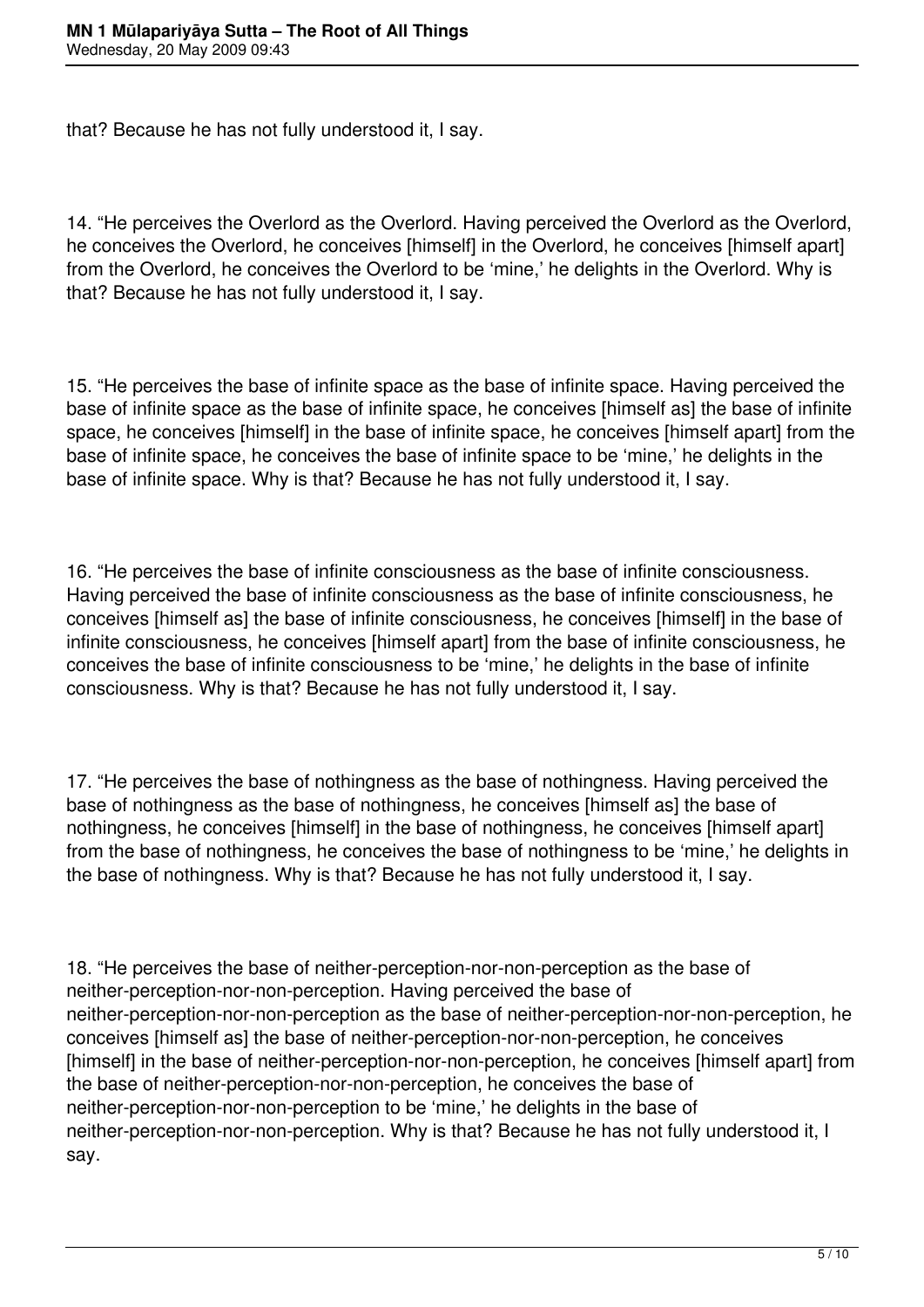that? Because he has not fully understood it, I say.

14. "He perceives the Overlord as the Overlord. Having perceived the Overlord as the Overlord, he conceives the Overlord, he conceives [himself] in the Overlord, he conceives [himself apart] from the Overlord, he conceives the Overlord to be 'mine,' he delights in the Overlord. Why is that? Because he has not fully understood it, I say.

15. "He perceives the base of infinite space as the base of infinite space. Having perceived the base of infinite space as the base of infinite space, he conceives [himself as] the base of infinite space, he conceives [himself] in the base of infinite space, he conceives [himself apart] from the base of infinite space, he conceives the base of infinite space to be 'mine,' he delights in the base of infinite space. Why is that? Because he has not fully understood it, I say.

16. "He perceives the base of infinite consciousness as the base of infinite consciousness. Having perceived the base of infinite consciousness as the base of infinite consciousness, he conceives [himself as] the base of infinite consciousness, he conceives [himself] in the base of infinite consciousness, he conceives [himself apart] from the base of infinite consciousness, he conceives the base of infinite consciousness to be 'mine,' he delights in the base of infinite consciousness. Why is that? Because he has not fully understood it, I say.

17. "He perceives the base of nothingness as the base of nothingness. Having perceived the base of nothingness as the base of nothingness, he conceives [himself as] the base of nothingness, he conceives [himself] in the base of nothingness, he conceives [himself apart] from the base of nothingness, he conceives the base of nothingness to be 'mine,' he delights in the base of nothingness. Why is that? Because he has not fully understood it, I say.

18. "He perceives the base of neither-perception-nor-non-perception as the base of neither-perception-nor-non-perception. Having perceived the base of neither-perception-nor-non-perception as the base of neither-perception-nor-non-perception, he conceives [himself as] the base of neither-perception-nor-non-perception, he conceives [himself] in the base of neither-perception-nor-non-perception, he conceives [himself apart] from the base of neither-perception-nor-non-perception, he conceives the base of neither-perception-nor-non-perception to be 'mine,' he delights in the base of neither-perception-nor-non-perception. Why is that? Because he has not fully understood it, I say.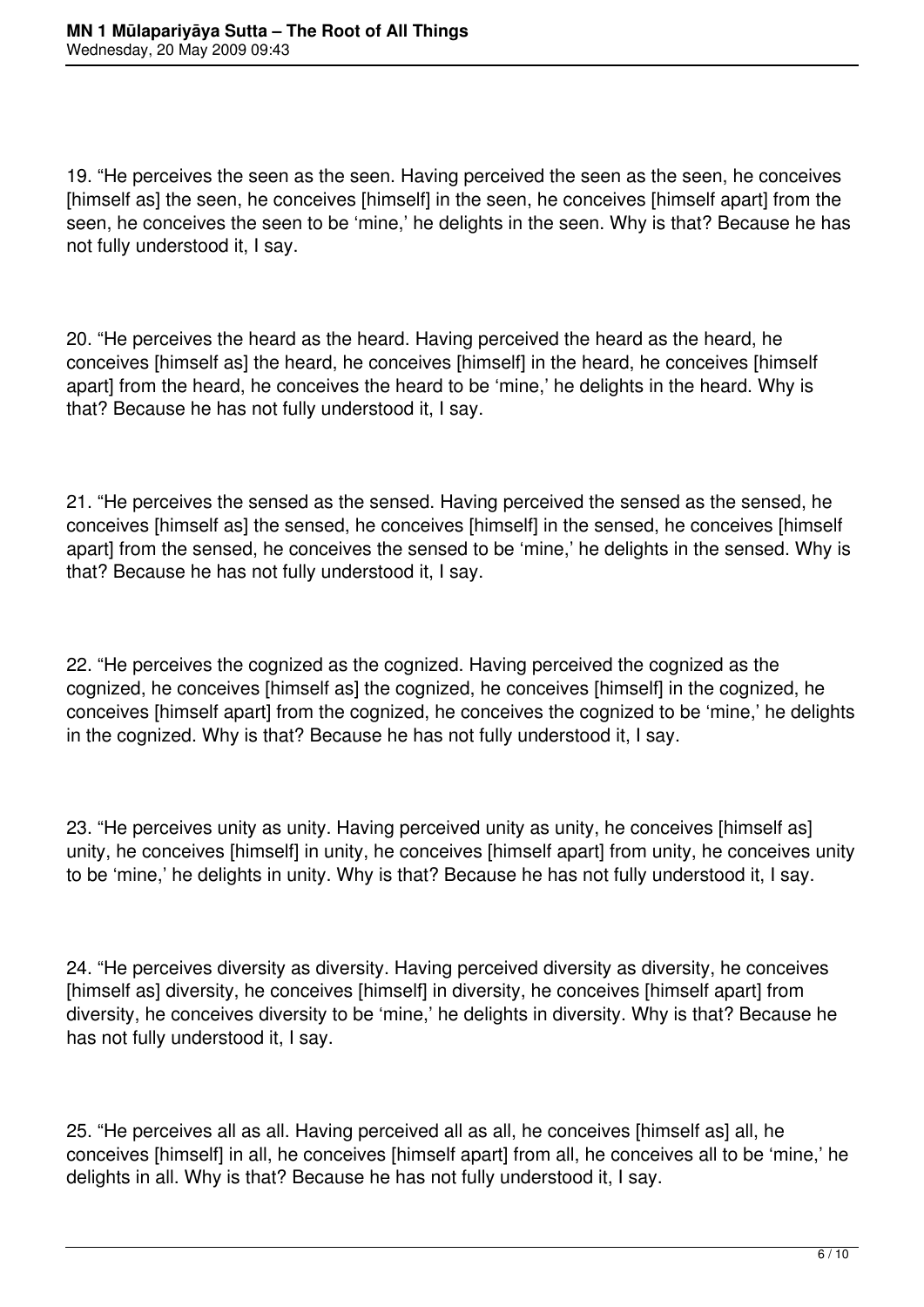19. "He perceives the seen as the seen. Having perceived the seen as the seen, he conceives [himself as] the seen, he conceives [himself] in the seen, he conceives [himself apart] from the seen, he conceives the seen to be 'mine,' he delights in the seen. Why is that? Because he has not fully understood it, I say.

20. "He perceives the heard as the heard. Having perceived the heard as the heard, he conceives [himself as] the heard, he conceives [himself] in the heard, he conceives [himself apart] from the heard, he conceives the heard to be 'mine,' he delights in the heard. Why is that? Because he has not fully understood it, I say.

21. "He perceives the sensed as the sensed. Having perceived the sensed as the sensed, he conceives [himself as] the sensed, he conceives [himself] in the sensed, he conceives [himself apart] from the sensed, he conceives the sensed to be 'mine,' he delights in the sensed. Why is that? Because he has not fully understood it, I say.

22. "He perceives the cognized as the cognized. Having perceived the cognized as the cognized, he conceives [himself as] the cognized, he conceives [himself] in the cognized, he conceives [himself apart] from the cognized, he conceives the cognized to be 'mine,' he delights in the cognized. Why is that? Because he has not fully understood it, I say.

23. "He perceives unity as unity. Having perceived unity as unity, he conceives [himself as] unity, he conceives [himself] in unity, he conceives [himself apart] from unity, he conceives unity to be 'mine,' he delights in unity. Why is that? Because he has not fully understood it, I say.

24. "He perceives diversity as diversity. Having perceived diversity as diversity, he conceives [himself as] diversity, he conceives [himself] in diversity, he conceives [himself apart] from diversity, he conceives diversity to be 'mine,' he delights in diversity. Why is that? Because he has not fully understood it, I say.

25. "He perceives all as all. Having perceived all as all, he conceives [himself as] all, he conceives [himself] in all, he conceives [himself apart] from all, he conceives all to be 'mine,' he delights in all. Why is that? Because he has not fully understood it, I say.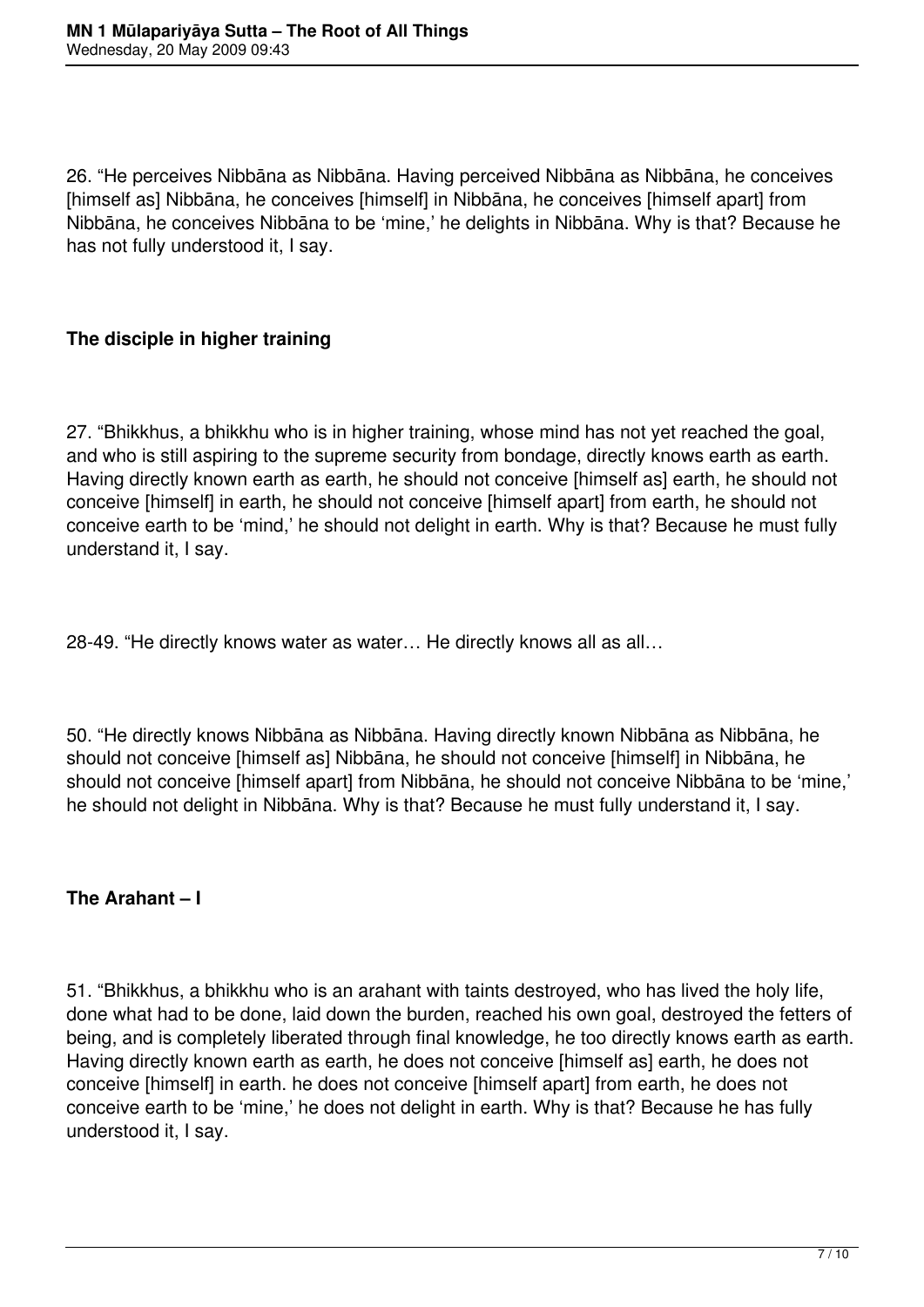26. "He perceives Nibbāna as Nibbāna. Having perceived Nibbāna as Nibbāna, he conceives [himself as] Nibbāna, he conceives [himself] in Nibbāna, he conceives [himself apart] from Nibbāna, he conceives Nibbāna to be 'mine,' he delights in Nibbāna. Why is that? Because he has not fully understood it, I say.

# **The disciple in higher training**

27. "Bhikkhus, a bhikkhu who is in higher training, whose mind has not yet reached the goal, and who is still aspiring to the supreme security from bondage, directly knows earth as earth. Having directly known earth as earth, he should not conceive [himself as] earth, he should not conceive [himself] in earth, he should not conceive [himself apart] from earth, he should not conceive earth to be 'mind,' he should not delight in earth. Why is that? Because he must fully understand it, I say.

28-49. "He directly knows water as water… He directly knows all as all…

50. "He directly knows Nibbāna as Nibbāna. Having directly known Nibbāna as Nibbāna, he should not conceive [himself as] Nibbāna, he should not conceive [himself] in Nibbāna, he should not conceive [himself apart] from Nibbāna, he should not conceive Nibbāna to be 'mine,' he should not delight in Nibbāna. Why is that? Because he must fully understand it, I say.

## **The Arahant – I**

51. "Bhikkhus, a bhikkhu who is an arahant with taints destroyed, who has lived the holy life, done what had to be done, laid down the burden, reached his own goal, destroyed the fetters of being, and is completely liberated through final knowledge, he too directly knows earth as earth. Having directly known earth as earth, he does not conceive [himself as] earth, he does not conceive [himself] in earth. he does not conceive [himself apart] from earth, he does not conceive earth to be 'mine,' he does not delight in earth. Why is that? Because he has fully understood it, I say.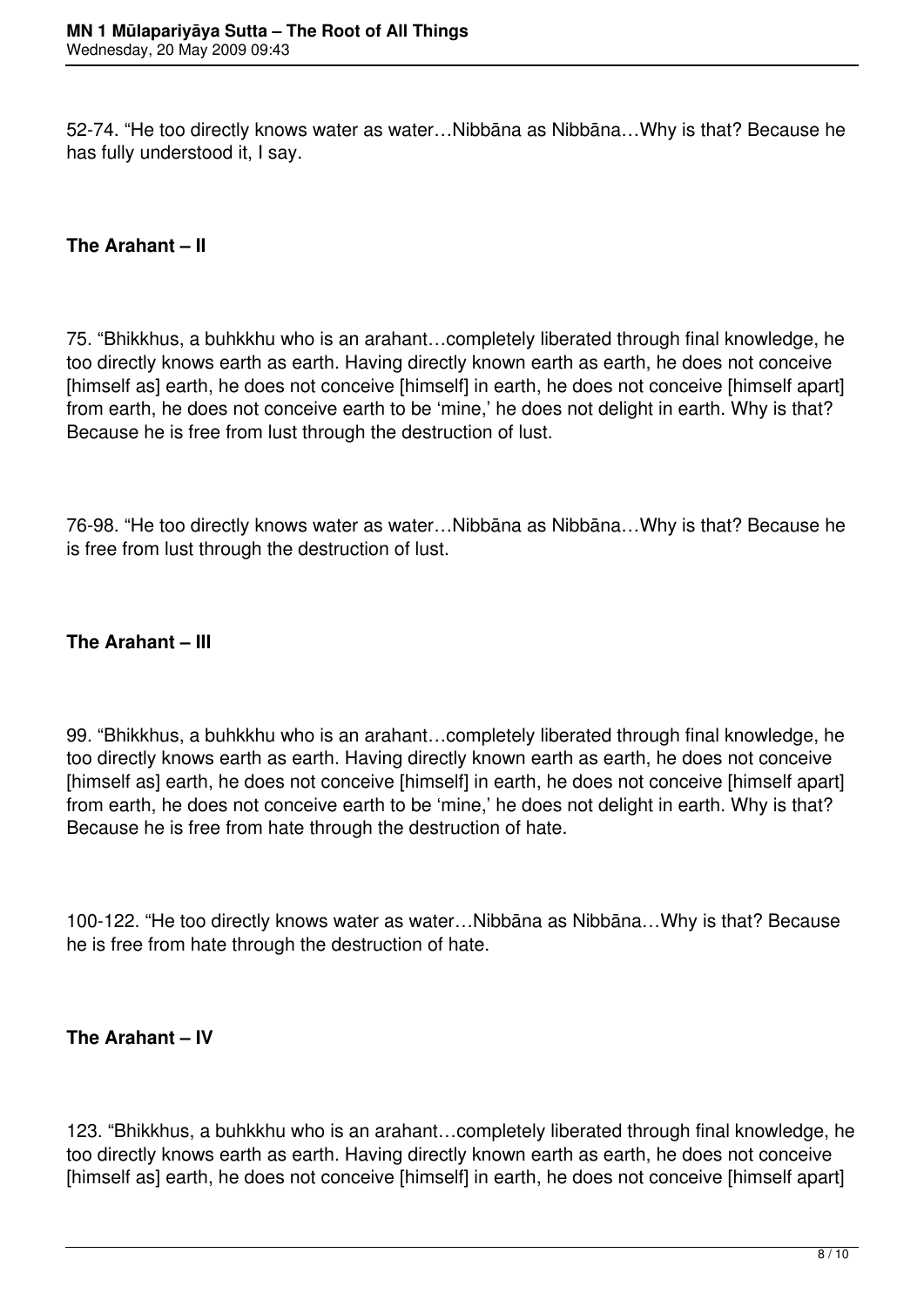52-74. "He too directly knows water as water…Nibbāna as Nibbāna…Why is that? Because he has fully understood it, I say.

## **The Arahant – II**

75. "Bhikkhus, a buhkkhu who is an arahant…completely liberated through final knowledge, he too directly knows earth as earth. Having directly known earth as earth, he does not conceive [himself as] earth, he does not conceive [himself] in earth, he does not conceive [himself apart] from earth, he does not conceive earth to be 'mine,' he does not delight in earth. Why is that? Because he is free from lust through the destruction of lust.

76-98. "He too directly knows water as water…Nibbāna as Nibbāna…Why is that? Because he is free from lust through the destruction of lust.

**The Arahant – III**

99. "Bhikkhus, a buhkkhu who is an arahant…completely liberated through final knowledge, he too directly knows earth as earth. Having directly known earth as earth, he does not conceive [himself as] earth, he does not conceive [himself] in earth, he does not conceive [himself apart] from earth, he does not conceive earth to be 'mine,' he does not delight in earth. Why is that? Because he is free from hate through the destruction of hate.

100-122. "He too directly knows water as water…Nibbāna as Nibbāna…Why is that? Because he is free from hate through the destruction of hate.

## **The Arahant – IV**

123. "Bhikkhus, a buhkkhu who is an arahant…completely liberated through final knowledge, he too directly knows earth as earth. Having directly known earth as earth, he does not conceive [himself as] earth, he does not conceive [himself] in earth, he does not conceive [himself apart]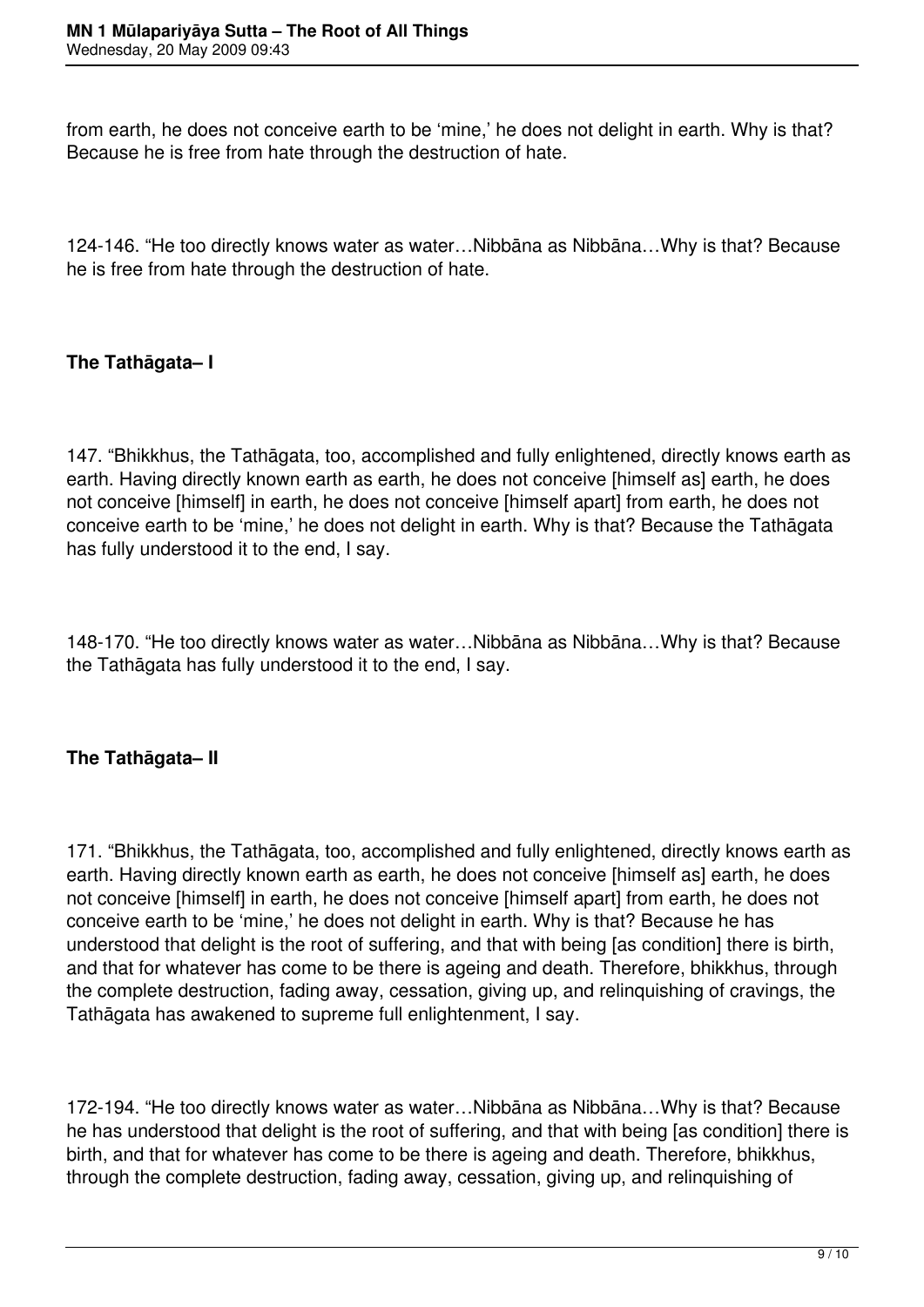from earth, he does not conceive earth to be 'mine,' he does not delight in earth. Why is that? Because he is free from hate through the destruction of hate.

124-146. "He too directly knows water as water…Nibbāna as Nibbāna…Why is that? Because he is free from hate through the destruction of hate.

# **The Tathāgata– I**

147. "Bhikkhus, the Tathāgata, too, accomplished and fully enlightened, directly knows earth as earth. Having directly known earth as earth, he does not conceive [himself as] earth, he does not conceive [himself] in earth, he does not conceive [himself apart] from earth, he does not conceive earth to be 'mine,' he does not delight in earth. Why is that? Because the Tathāgata has fully understood it to the end, I say.

148-170. "He too directly knows water as water…Nibbāna as Nibbāna…Why is that? Because the Tathāgata has fully understood it to the end, I say.

## **The Tathāgata– II**

171. "Bhikkhus, the Tathāgata, too, accomplished and fully enlightened, directly knows earth as earth. Having directly known earth as earth, he does not conceive [himself as] earth, he does not conceive [himself] in earth, he does not conceive [himself apart] from earth, he does not conceive earth to be 'mine,' he does not delight in earth. Why is that? Because he has understood that delight is the root of suffering, and that with being [as condition] there is birth, and that for whatever has come to be there is ageing and death. Therefore, bhikkhus, through the complete destruction, fading away, cessation, giving up, and relinquishing of cravings, the Tathāgata has awakened to supreme full enlightenment, I say.

172-194. "He too directly knows water as water…Nibbāna as Nibbāna…Why is that? Because he has understood that delight is the root of suffering, and that with being [as condition] there is birth, and that for whatever has come to be there is ageing and death. Therefore, bhikkhus, through the complete destruction, fading away, cessation, giving up, and relinquishing of